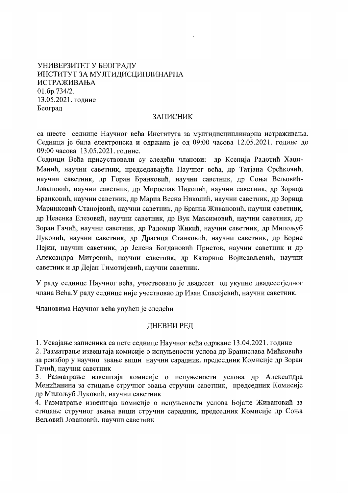# УНИВЕРЗИТЕТ У БЕОГРАДУ ИНСТИТУТ ЗА МУЛТИДИСЦИПЛИНАРНА **ИСТРАЖИВАЊА** 01.6p.734/2. 13.05.2021. године Београд

## ЗАПИСНИК

са шесте седнице Научног већа Института за мултидисциплинарна истраживања. Седница је била електронска и одржана је од 09:00 часова 12.05.2021. године до 09:00 часова 13.05.2021. голине.

Седници Већа присуствовали су следећи чланови: др Ксенија Радотић Хаџи-Манић, научни саветник, председавајућа Научног већа, др Татјана Срећковић, научни саветник, др Горан Бранковић, научни саветник, др Соња Вељовић-Јовановић, научни саветник, др Мирослав Николић, научни саветник, др Зорица Бранковић, научни саветник, др Мариа Весна Николић, научни саветник, др Зорица Маринковић Станојевић, научни саветник, др Бранка Живановић, научни саветник, др Невенка Елезовић, научни саветник, др Вук Максимовић, научни саветник, др Зоран Гачић, научни саветник, др Радомир Жикић, научни саветник, др Милољуб Луковић, научни саветник, др Драгица Станковић, научни саветник, др Борис Пејин, научни саветник, др Јелена Богдановић Пристов, научни саветник и др Александра Митровић, научни саветник, др Катарина Војисављевић, научни саветник и др Дејан Тимотијевић, научни саветник.

У раду седнице Научног већа, учествовало је двадесет од укупно двадесетједног члана Већа. У раду седнице није учествовао др Иван Спасојевић, научни саветник.

Члановима Научног већа упућен је следећи

## ДНЕВНИ РЕД

1. Усвајање записника са пете седнице Научног већа одржане 13.04.2021. године

2. Разматрање извештаја комисије о испуњености услова др Бранислава Мићковића за реизбор у научно звање виши научни сарадник, председник Комисије др Зоран Гачић, научни саветник

3. Разматрање извештаја комисије о испуњености услова др Александра Менићанина за стицање стручног звања стручни саветник, председник Комисије др Милољуб Луковић, научни саветник

4. Разматрање извештаја комисије о испуњености услова Бојане Живановић за стицање стручног звања виши стручни сарадник, председник Комисије др Соња Вељовић Јовановић, научни саветник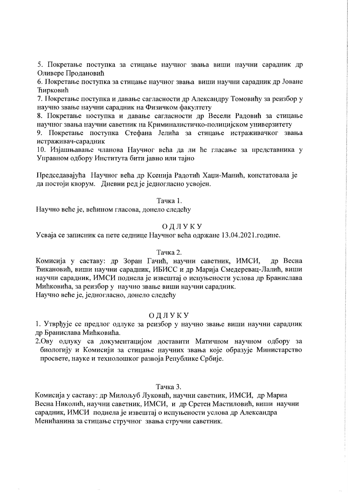5. Покретање поступка за стицање научног звања виши научни сарадник др Оливере Продановић

6. Покретање поступка за стицање научног звања виши научни сарадник др Јоване Ћирковић

7. Покретање поступка и давање сагласности др Александру Томовићу за реизбор у научно звање научни сарадник на Физичком факултету

8. Покретање поступка и давање сагласности др Весели Радовић за стицање научног звања научни саветник на Криминалистичко-полицијском универзитету

9. Покретање поступка Стефана Јелића за стицање истраживачког звања истраживач-сарадник

10. Изјашњавање чланова Научног већа да ли ће гласање за представника у Управном одбору Института бити јавно или тајно

Председавајућа Научног већа др Ксенија Радотић Хаџи-Манић, констатовала је да постоји кворум. Дневни ред је једногласно усвојен.

#### Тачка 1.

Научно веће је, већином гласова, донело следећу

### ОДЛУКУ

Усваја се записник са пете седнице Научног већа одржане 13.04.2021.године.

#### Тачка 2.

Комисија у саставу: др Зоран Гачић, научни саветник, ИМСИ, др Весна Ђикановић, виши научни сарадник, ИБИСС и др Марија Смедеревац-Лалић, виши научни сарадник, ИМСИ поднела је извештај о испуњености услова др Бранислава Мићковића, за реизбор у научно звање виши научни сарадник. Научно веће је, једногласно, донело следећу

#### ОДЛУКУ

1. Утврђује се предлог одлуке за реизбор у научно звање виши научни сарадник др Бранислава Мићковића.

2. Ову одлуку са документацијом доставити Матичном научном одбору за биологију и Комисији за стицање научних звања које образује Министарство просвете, науке и технолошког развоја Републике Србије.

### Тачка 3.

Комисија у саставу: др Милољуб Луковић, научни саветник, ИМСИ, др Мариа Весна Николић, научни саветник, ИМСИ, и др Сретен Мастиловић, виши научни сарадник, ИМСИ поднела је извештај о испуњености услова др Александра Менићанина за стицање стручног звања стручни саветник.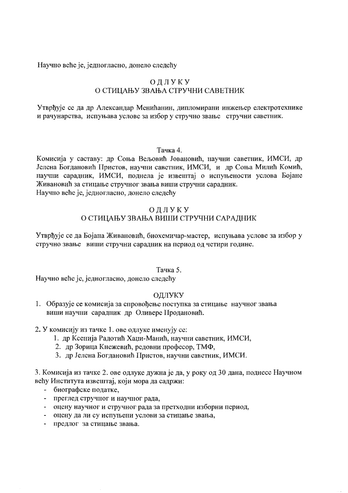Научно веће је, једногласно, донело следећу

# ОДЛУКУ О СТИЦАЊУ ЗВАЊА СТРУЧНИ САВЕТНИК

Утврђује се да др Александар Менићанин, дипломирани инжењер електротехнике и рачунарства, испуњава услове за избор у стручно звање стручни саветник.

## Тачка 4.

Комисија у саставу: др Соња Вељовић Јовановић, научни саветник, ИМСИ, др Јелена Богдановић Пристов, научни саветник, ИМСИ, и др Соња Милић Комић, научни сарадник, ИМСИ, поднела је извештај о испуњености услова Бојане Живановић за стицање стручног звања виши стручни сарадник. Научно веће је, једногласно, донело следећу

# ОДЛУКУ

# О СТИЦАЊУ ЗВАЊА ВИШИ СТРУЧНИ САРАДНИК

Утврђује се да Бојана Живановић, биохемичар-мастер, испуњава услове за избор у стручно звање виши стручни сарадник на период од четири године.

### Тачка 5.

Научно веће је, једногласно, донело следећу

## ОДЛУКУ

- 1. Образује се комисија за спровођење поступка за стицање научног звања виши научни сарадник др Оливере Продановић.
- 2. У комисију из тачке 1. ове одлуке именују се:
	- 1. др Ксенија Радотић Хаџи-Манић, научни саветник, ИМСИ,
	- 2. др Зорица Кнежевић, редовни професор, ТМФ,
	- 3. др Јелена Богдановић Пристов, научни саветник, ИМСИ.

3. Комисија из тачке 2. ове одлуке дужна је да, у року од 30 дана, поднесе Научном већу Института извештај, који мора да садржи:

- биографске податке,
- преглед стручног и научног рада,
- оцену научног и стручног рада за претходни изборни период,
- оцену да ли су испуњени услови за стицање звања,
- предлог за стицање звања.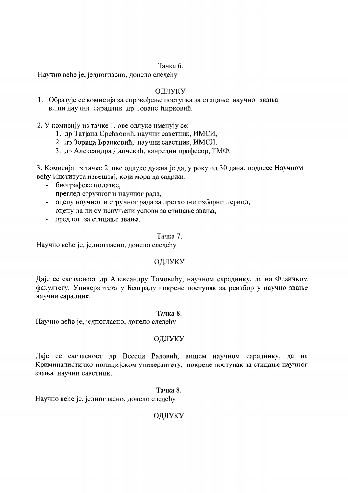### Тачка б.

Научно веће је, једногласно, донело следећу

### ОДЛУКУ

1. Образује се комисија за спровођење поступка за стицање научног звања виши научни сарадник др Јоване Ћирковић.

2. У комисију из тачке 1. ове одлуке именују се:

- 1. др Татјана Срећковић, научни саветник, ИМСИ,
- 2. др Зорица Бранковић, научни саветник, ИМСИ,
- 3. др Александра Дапчевић, ванредни професор, ТМФ.

3. Комисија из тачке 2. ове одлуке дужна је да, у року од 30 дана, поднесе Научном већу Института извештај, који мора да садржи:

- биографске податке,
- преглед стручног и научног рада,
- оцену научног и стручног рада за претходни изборни период,
- оцену да ли су испуњени услови за стицање звања,
- $\mathbf{L}^{\text{max}}$ предлог за стицање звања.

### Тачка 7.

Научно веће је, једногласно, донело следећу

### ОДЛУКУ

Даје се сагласност др Александру Томовићу, научном сараднику, да на Физичком факултету, Универзитета у Београду покрене поступак за реизбор у научно звање научни сарадник.

Тачка 8.

Научно веће је, једногласно, донело следећу

### ОДЛУКУ

Даје се сагласност др Весели Радовић, вишем научном сараднику, да на Криминалистичко-полицијском универзитету, покрене поступак за стицање научног звања научни саветник.

Тачка 8.

Научно веће је, једногласно, донело следећу

## ОДЛУКУ